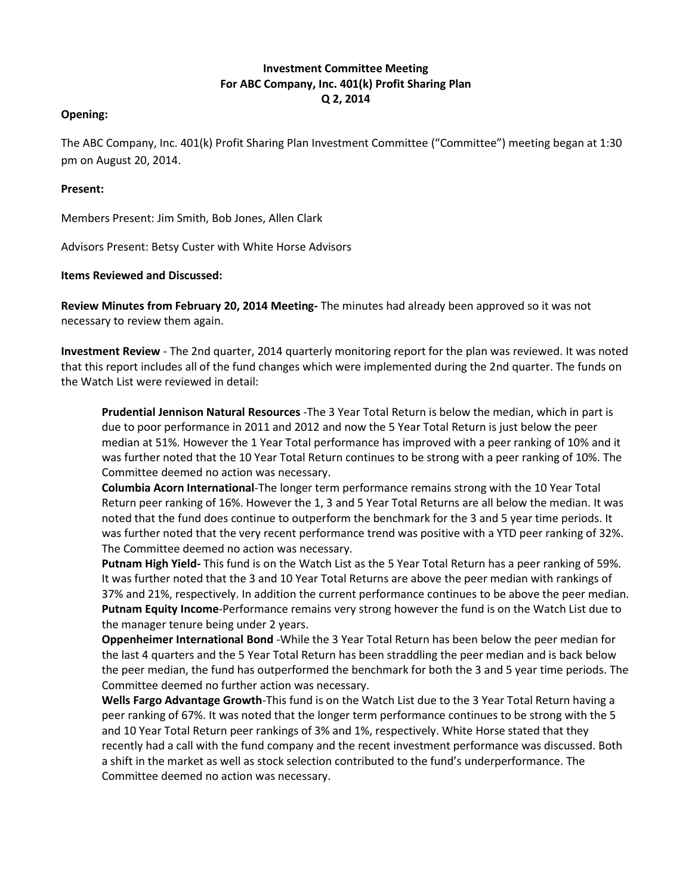## **Investment Committee Meeting For ABC Company, Inc. 401(k) Profit Sharing Plan Q 2, 2014**

## **Opening:**

The ABC Company, Inc. 401(k) Profit Sharing Plan Investment Committee ("Committee") meeting began at 1:30 pm on August 20, 2014.

## **Present:**

Members Present: Jim Smith, Bob Jones, Allen Clark

Advisors Present: Betsy Custer with White Horse Advisors

## **Items Reviewed and Discussed:**

**Review Minutes from February 20, 2014 Meeting-** The minutes had already been approved so it was not necessary to review them again.

**Investment Review** - The 2nd quarter, 2014 quarterly monitoring report for the plan was reviewed. It was noted that this report includes all of the fund changes which were implemented during the 2nd quarter. The funds on the Watch List were reviewed in detail:

**Prudential Jennison Natural Resources** -The 3 Year Total Return is below the median, which in part is due to poor performance in 2011 and 2012 and now the 5 Year Total Return is just below the peer median at 51%. However the 1 Year Total performance has improved with a peer ranking of 10% and it was further noted that the 10 Year Total Return continues to be strong with a peer ranking of 10%. The Committee deemed no action was necessary.

**Columbia Acorn International**-The longer term performance remains strong with the 10 Year Total Return peer ranking of 16%. However the 1, 3 and 5 Year Total Returns are all below the median. It was noted that the fund does continue to outperform the benchmark for the 3 and 5 year time periods. It was further noted that the very recent performance trend was positive with a YTD peer ranking of 32%. The Committee deemed no action was necessary.

**Putnam High Yield-** This fund is on the Watch List as the 5 Year Total Return has a peer ranking of 59%. It was further noted that the 3 and 10 Year Total Returns are above the peer median with rankings of 37% and 21%, respectively. In addition the current performance continues to be above the peer median. **Putnam Equity Income**-Performance remains very strong however the fund is on the Watch List due to the manager tenure being under 2 years.

**Oppenheimer International Bond** -While the 3 Year Total Return has been below the peer median for the last 4 quarters and the 5 Year Total Return has been straddling the peer median and is back below the peer median, the fund has outperformed the benchmark for both the 3 and 5 year time periods. The Committee deemed no further action was necessary.

**Wells Fargo Advantage Growth**-This fund is on the Watch List due to the 3 Year Total Return having a peer ranking of 67%. It was noted that the longer term performance continues to be strong with the 5 and 10 Year Total Return peer rankings of 3% and 1%, respectively. White Horse stated that they recently had a call with the fund company and the recent investment performance was discussed. Both a shift in the market as well as stock selection contributed to the fund's underperformance. The Committee deemed no action was necessary.